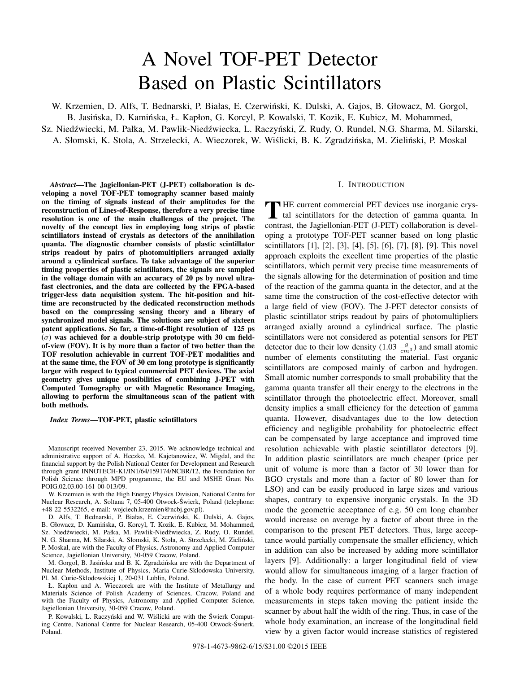# A Novel TOF-PET Detector Based on Plastic Scintillators

W. Krzemien, D. Alfs, T. Bednarski, P. Białas, E. Czerwinski, K. Dulski, A. Gajos, B. Głowacz, M. Gorgol, ´ B. Jasińska, D. Kamińska, Ł. Kapłon, G. Korcyl, P. Kowalski, T. Kozik, E. Kubicz, M. Mohammed, Sz. Niedźwiecki, M. Pałka, M. Pawlik-Niedźwiecka, L. Raczyński, Z. Rudy, O. Rundel, N.G. Sharma, M. Silarski, A. Słomski, K. Stola, A. Strzelecki, A. Wieczorek, W. Wiślicki, B. K. Zgradzińska, M. Zieliński, P. Moskal

*Abstract*—The Jagiellonian-PET (J-PET) collaboration is developing a novel TOF-PET tomography scanner based mainly on the timing of signals instead of their amplitudes for the reconstruction of Lines-of-Response, therefore a very precise time resolution is one of the main challenges of the project. The novelty of the concept lies in employing long strips of plastic scintillators instead of crystals as detectors of the annihilation quanta. The diagnostic chamber consists of plastic scintillator strips readout by pairs of photomultipliers arranged axially around a cylindrical surface. To take advantage of the superior timing properties of plastic scintillators, the signals are sampled in the voltage domain with an accuracy of 20 ps by novel ultrafast electronics, and the data are collected by the FPGA-based trigger-less data acquisition system. The hit-position and hittime are reconstructed by the dedicated reconstruction methods based on the compressing sensing theory and a library of synchronized model signals. The solutions are subject of sixteen patent applications. So far, a time-of-flight resolution of 125 ps  $(\sigma)$  was achieved for a double-strip prototype with 30 cm fieldof-view (FOV). It is by more than a factor of two better than the TOF resolution achievable in current TOF-PET modalities and at the same time, the FOV of 30 cm long prototype is significantly larger with respect to typical commercial PET devices. The axial geometry gives unique possibilities of combining J-PET with Computed Tomography or with Magnetic Resonance Imaging, allowing to perform the simultaneous scan of the patient with both methods.

*Index Terms*—TOF-PET, plastic scintillators

Manuscript received November 23, 2015. We acknowledge technical and administrative support of A. Heczko, M. Kajetanowicz, W. Migdal, and the financial support by the Polish National Center for Development and Research through grant INNOTECH-K1/IN1/64/159174/NCBR/12, the Foundation for Polish Science through MPD programme, the EU and MSHE Grant No. POIG.02.03.00-161 00-013/09.

W. Krzemien is with the High Energy Physics Division, National Centre for Nuclear Research, A. Soltana 7, 05-400 Otwock-Swierk, Poland (telephone: ´ +48 22 5532265, e-mail: wojciech.krzemien@ncbj.gov.pl).

D. Alfs, T. Bednarski, P. Białas, E. Czerwiński, K. Dulski, A. Gajos, B. Głowacz, D. Kamińska, G. Korcyl, T. Kozik, E. Kubicz, M. Mohammed, Sz. Niedźwiecki, M. Pałka, M. Pawlik-Niedźwiecka, Z. Rudy, O. Rundel, N. G. Sharma, M. Silarski, A. Słomski, K. Stola, A. Strzelecki, M. Zielinski, ´ P. Moskal, are with the Faculty of Physics, Astronomy and Applied Computer Science, Jagiellonian University, 30-059 Cracow, Poland.

M. Gorgol, B. Jasińska and B. K. Zgradzińska are with the Department of Nuclear Methods, Institute of Physics, Maria Curie-Sklodowska University, Pl. M. Curie-Sklodowskiej 1, 20-031 Lublin, Poland.

Ł. Kapłon and A. Wieczorek are with the Institute of Metallurgy and Materials Science of Polish Academy of Sciences, Cracow, Poland and with the Faculty of Physics, Astronomy and Applied Computer Science, Jagiellonian University, 30-059 Cracow, Poland.

P. Kowalski, L. Raczyński and W. Wiślicki are with the Świerk Computing Centre, National Centre for Nuclear Research, 05-400 Otwock-Swierk, ´ Poland.

## I. INTRODUCTION

THE current commercial PET devices use inorganic crystal scintillators for the detection of gamma quanta. In contrast, the Jagiellonian-PET (J-PET) collaboration is developing a prototype TOF-PET scanner based on long plastic scintillators [1], [2], [3], [4], [5], [6], [7], [8], [9]. This novel approach exploits the excellent time properties of the plastic scintillators, which permit very precise time measurements of the signals allowing for the determination of position and time of the reaction of the gamma quanta in the detector, and at the same time the construction of the cost-effective detector with a large field of view (FOV). The J-PET detector consists of plastic scintillator strips readout by pairs of photomultipliers arranged axially around a cylindrical surface. The plastic scintillators were not considered as potential sensors for PET detector due to their low density  $(1.03 \frac{g}{cm^3})$  and small atomic<br>number of elements constituting the material. East organic number of elements constituting the material. Fast organic scintillators are composed mainly of carbon and hydrogen. Small atomic number corresponds to small probability that the gamma quanta transfer all their energy to the electrons in the scintillator through the photoelectric effect. Moreover, small density implies a small efficiency for the detection of gamma quanta. However, disadvantages due to the low detection efficiency and negligible probability for photoelectric effect can be compensated by large acceptance and improved time resolution achievable with plastic scintillator detectors [9]. In addition plastic scintillators are much cheaper (price per unit of volume is more than a factor of 30 lower than for BGO crystals and more than a factor of 80 lower than for LSO) and can be easily produced in large sizes and various shapes, contrary to expensive inorganic crystals. In the 3D mode the geometric acceptance of e.g. 50 cm long chamber would increase on average by a factor of about three in the comparison to the present PET detectors. Thus, large acceptance would partially compensate the smaller efficiency, which in addition can also be increased by adding more scintillator layers [9]. Additionally: a larger longitudinal field of view would allow for simultaneous imaging of a larger fraction of the body. In the case of current PET scanners such image of a whole body requires performance of many independent measurements in steps taken moving the patient inside the scanner by about half the width of the ring. Thus, in case of the whole body examination, an increase of the longitudinal field view by a given factor would increase statistics of registered